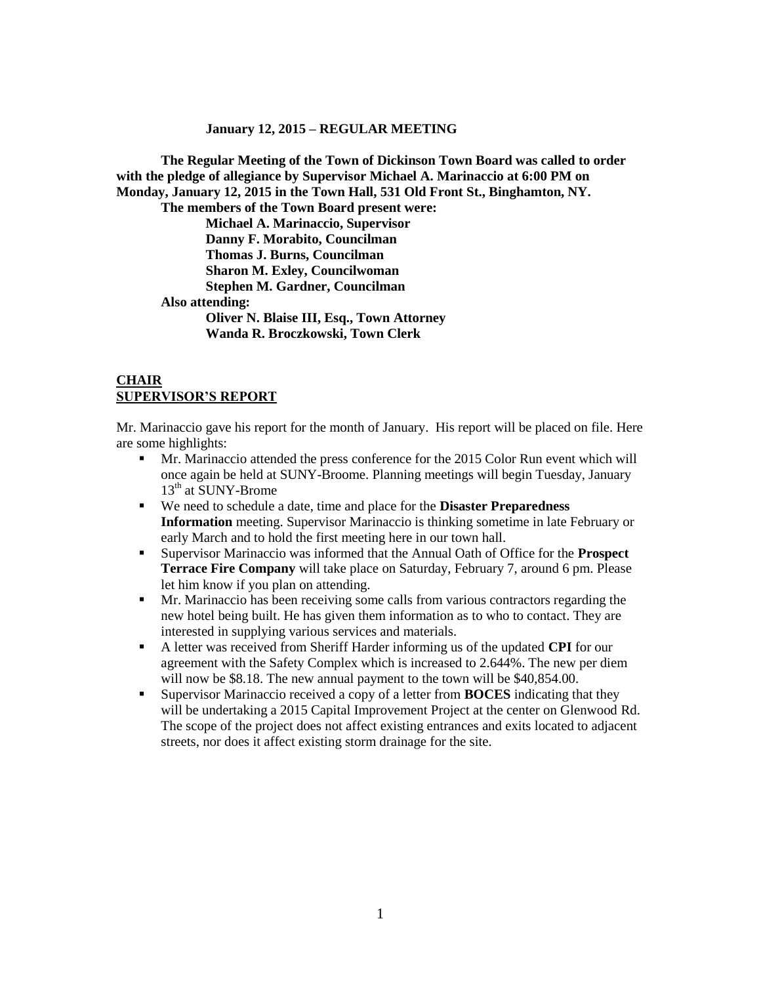#### **January 12, 2015 – REGULAR MEETING**

**The Regular Meeting of the Town of Dickinson Town Board was called to order with the pledge of allegiance by Supervisor Michael A. Marinaccio at 6:00 PM on Monday, January 12, 2015 in the Town Hall, 531 Old Front St., Binghamton, NY. The members of the Town Board present were: Michael A. Marinaccio, Supervisor Danny F. Morabito, Councilman Thomas J. Burns, Councilman Sharon M. Exley, Councilwoman Stephen M. Gardner, Councilman Also attending:**

> **Oliver N. Blaise III, Esq., Town Attorney Wanda R. Broczkowski, Town Clerk**

## **CHAIR SUPERVISOR'S REPORT**

Mr. Marinaccio gave his report for the month of January. His report will be placed on file. Here are some highlights:

- Mr. Marinaccio attended the press conference for the 2015 Color Run event which will once again be held at SUNY-Broome. Planning meetings will begin Tuesday, January 13<sup>th</sup> at SUNY-Brome
- We need to schedule a date, time and place for the **Disaster Preparedness Information** meeting. Supervisor Marinaccio is thinking sometime in late February or early March and to hold the first meeting here in our town hall.
- Supervisor Marinaccio was informed that the Annual Oath of Office for the **Prospect Terrace Fire Company** will take place on Saturday, February 7, around 6 pm. Please let him know if you plan on attending.
- Mr. Marinaccio has been receiving some calls from various contractors regarding the new hotel being built. He has given them information as to who to contact. They are interested in supplying various services and materials.
- A letter was received from Sheriff Harder informing us of the updated **CPI** for our agreement with the Safety Complex which is increased to 2.644%. The new per diem will now be \$8.18. The new annual payment to the town will be \$40,854.00.
- Supervisor Marinaccio received a copy of a letter from **BOCES** indicating that they will be undertaking a 2015 Capital Improvement Project at the center on Glenwood Rd. The scope of the project does not affect existing entrances and exits located to adjacent streets, nor does it affect existing storm drainage for the site.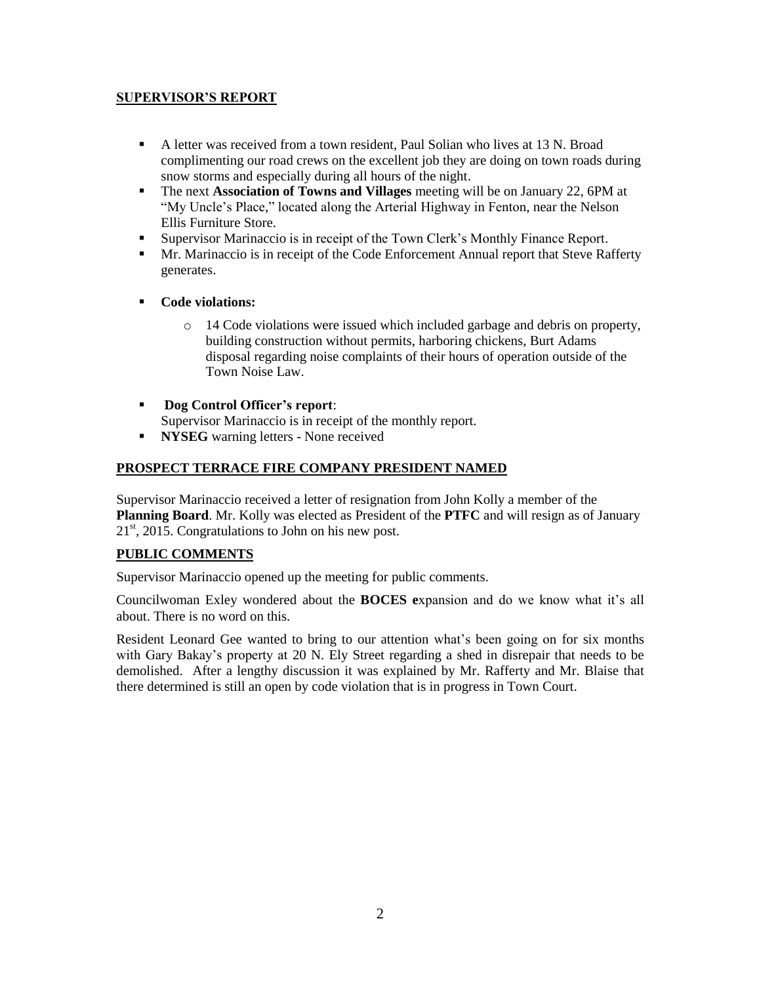# **SUPERVISOR'S REPORT**

- A letter was received from a town resident, Paul Solian who lives at 13 N. Broad complimenting our road crews on the excellent job they are doing on town roads during snow storms and especially during all hours of the night.
- The next **Association of Towns and Villages** meeting will be on January 22, 6PM at "My Uncle's Place," located along the Arterial Highway in Fenton, near the Nelson Ellis Furniture Store.
- Supervisor Marinaccio is in receipt of the Town Clerk's Monthly Finance Report.
- Mr. Marinaccio is in receipt of the Code Enforcement Annual report that Steve Rafferty generates.
- **Code violations:**
	- 14 Code violations were issued which included garbage and debris on property, building construction without permits, harboring chickens, Burt Adams disposal regarding noise complaints of their hours of operation outside of the Town Noise Law.
- **Dog Control Officer's report**: Supervisor Marinaccio is in receipt of the monthly report.
- **NYSEG** warning letters None received

# **PROSPECT TERRACE FIRE COMPANY PRESIDENT NAMED**

Supervisor Marinaccio received a letter of resignation from John Kolly a member of the **Planning Board**. Mr. Kolly was elected as President of the **PTFC** and will resign as of January  $21<sup>st</sup>$ , 2015. Congratulations to John on his new post.

## **PUBLIC COMMENTS**

Supervisor Marinaccio opened up the meeting for public comments.

Councilwoman Exley wondered about the **BOCES e**xpansion and do we know what it's all about. There is no word on this.

Resident Leonard Gee wanted to bring to our attention what's been going on for six months with Gary Bakay's property at 20 N. Ely Street regarding a shed in disrepair that needs to be demolished. After a lengthy discussion it was explained by Mr. Rafferty and Mr. Blaise that there determined is still an open by code violation that is in progress in Town Court.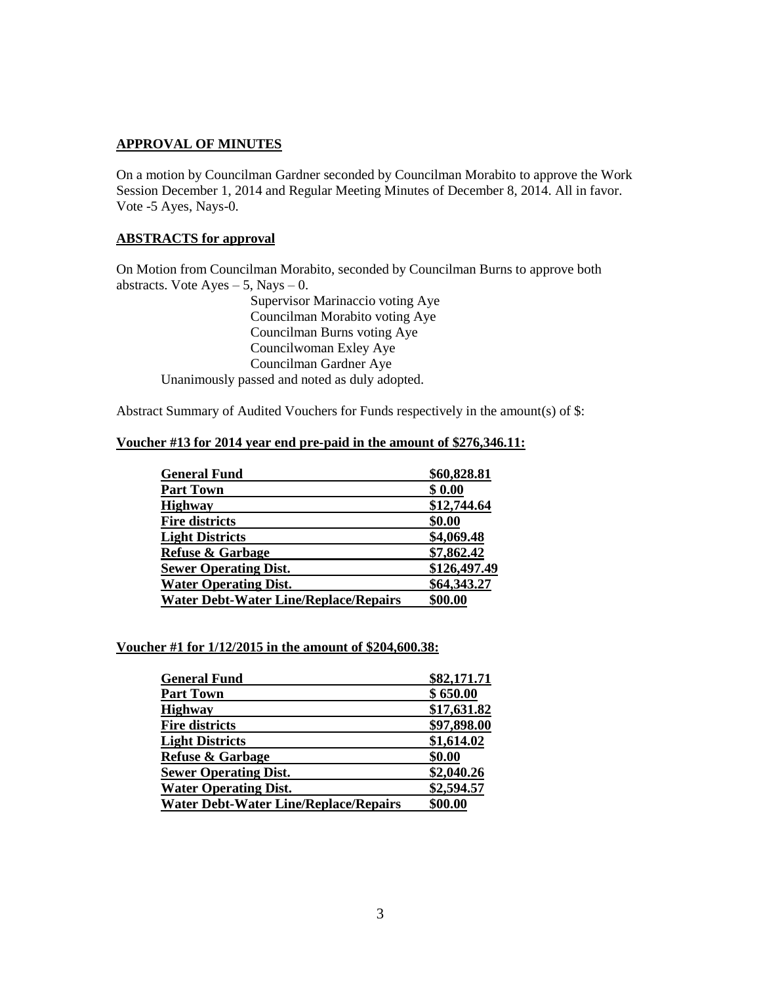# **APPROVAL OF MINUTES**

On a motion by Councilman Gardner seconded by Councilman Morabito to approve the Work Session December 1, 2014 and Regular Meeting Minutes of December 8, 2014. All in favor. Vote -5 Ayes, Nays-0.

# **ABSTRACTS for approval**

On Motion from Councilman Morabito, seconded by Councilman Burns to approve both abstracts. Vote  $Ayes - 5$ , Nays  $- 0$ .

Supervisor Marinaccio voting Aye Councilman Morabito voting Aye Councilman Burns voting Aye Councilwoman Exley Aye Councilman Gardner Aye Unanimously passed and noted as duly adopted.

Abstract Summary of Audited Vouchers for Funds respectively in the amount(s) of \$:

#### **Voucher #13 for 2014 year end pre-paid in the amount of \$276,346.11:**

| <b>General Fund</b>                          | \$60,828.81  |
|----------------------------------------------|--------------|
| <b>Part Town</b>                             | \$0.00       |
| <b>Highway</b>                               | \$12,744.64  |
| <b>Fire districts</b>                        | \$0.00       |
| <b>Light Districts</b>                       | \$4,069.48   |
| <b>Refuse &amp; Garbage</b>                  | \$7,862.42   |
| <b>Sewer Operating Dist.</b>                 | \$126,497.49 |
| <b>Water Operating Dist.</b>                 | \$64,343.27  |
| <b>Water Debt-Water Line/Replace/Repairs</b> | \$00.00      |

#### **Voucher #1 for 1/12/2015 in the amount of \$204,600.38:**

| <b>General Fund</b>                          | \$82,171.71 |
|----------------------------------------------|-------------|
| <b>Part Town</b>                             | \$650.00    |
| <b>Highway</b>                               | \$17,631.82 |
| <b>Fire districts</b>                        | \$97,898.00 |
| <b>Light Districts</b>                       | \$1,614.02  |
| <b>Refuse &amp; Garbage</b>                  | \$0.00      |
| <b>Sewer Operating Dist.</b>                 | \$2,040.26  |
| <b>Water Operating Dist.</b>                 | \$2,594.57  |
| <b>Water Debt-Water Line/Replace/Repairs</b> | \$00.00     |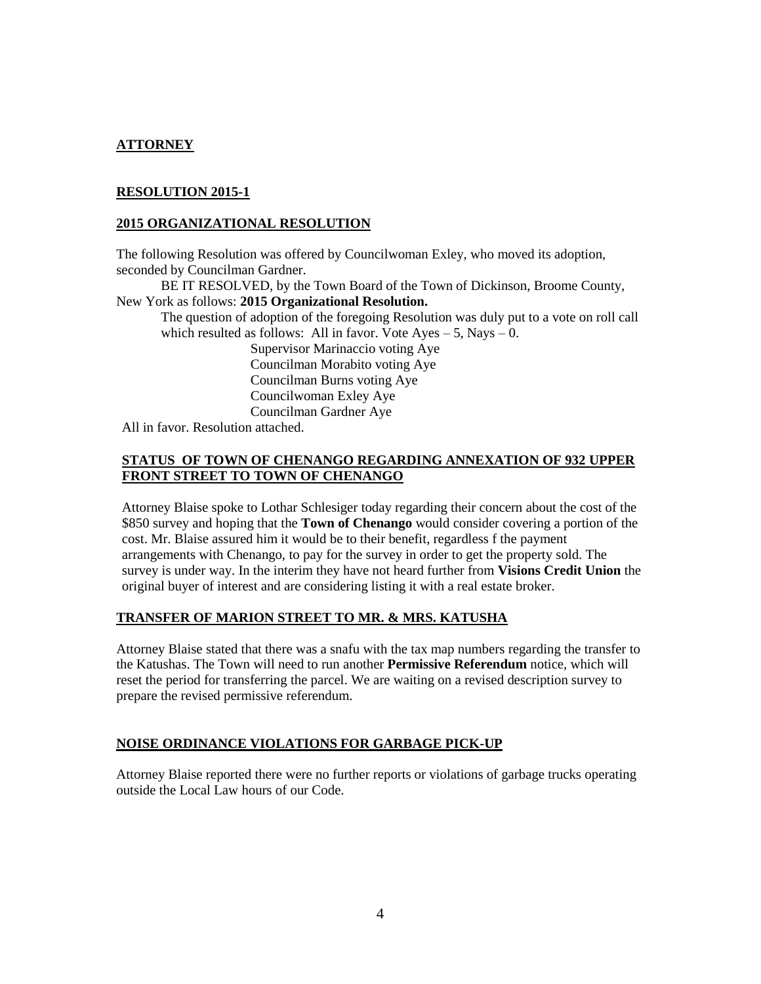# **ATTORNEY**

# **RESOLUTION 2015-1**

#### **2015 ORGANIZATIONAL RESOLUTION**

The following Resolution was offered by Councilwoman Exley, who moved its adoption, seconded by Councilman Gardner.

BE IT RESOLVED, by the Town Board of the Town of Dickinson, Broome County, New York as follows: **2015 Organizational Resolution.**

The question of adoption of the foregoing Resolution was duly put to a vote on roll call which resulted as follows: All in favor. Vote  $Ayes - 5$ , Nays  $- 0$ .

Supervisor Marinaccio voting Aye Councilman Morabito voting Aye Councilman Burns voting Aye Councilwoman Exley Aye Councilman Gardner Aye

All in favor. Resolution attached.

## **STATUS OF TOWN OF CHENANGO REGARDING ANNEXATION OF 932 UPPER FRONT STREET TO TOWN OF CHENANGO**

Attorney Blaise spoke to Lothar Schlesiger today regarding their concern about the cost of the \$850 survey and hoping that the **Town of Chenango** would consider covering a portion of the cost. Mr. Blaise assured him it would be to their benefit, regardless f the payment arrangements with Chenango, to pay for the survey in order to get the property sold. The survey is under way. In the interim they have not heard further from **Visions Credit Union** the original buyer of interest and are considering listing it with a real estate broker.

#### **TRANSFER OF MARION STREET TO MR. & MRS. KATUSHA**

Attorney Blaise stated that there was a snafu with the tax map numbers regarding the transfer to the Katushas. The Town will need to run another **Permissive Referendum** notice, which will reset the period for transferring the parcel. We are waiting on a revised description survey to prepare the revised permissive referendum.

#### **NOISE ORDINANCE VIOLATIONS FOR GARBAGE PICK-UP**

Attorney Blaise reported there were no further reports or violations of garbage trucks operating outside the Local Law hours of our Code.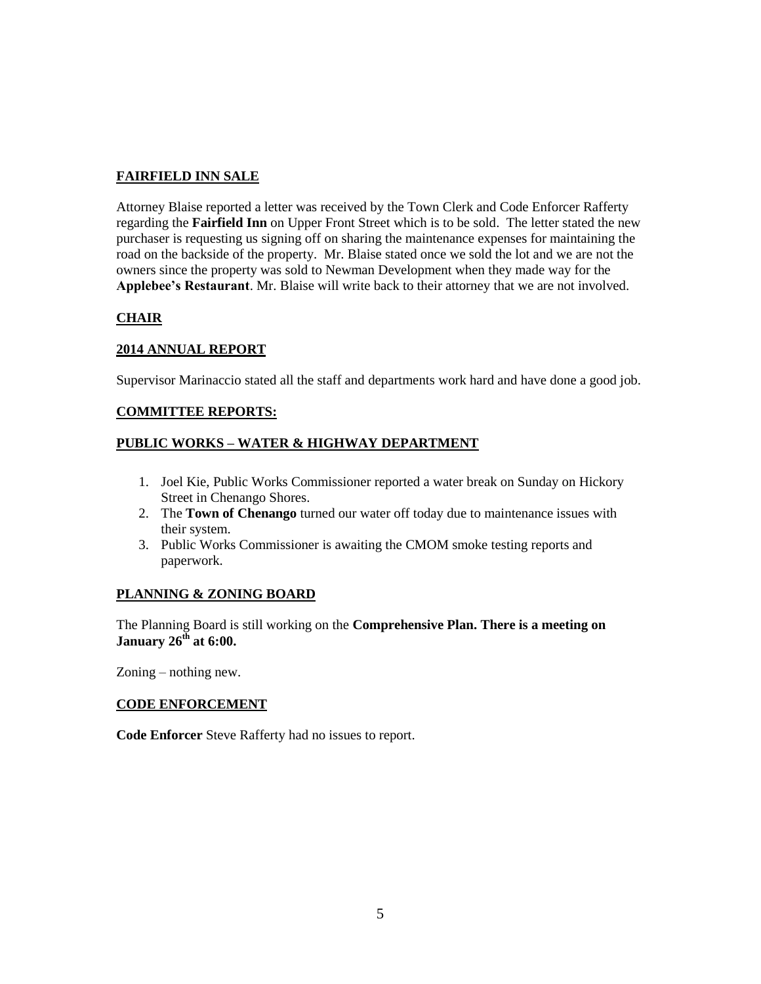# **FAIRFIELD INN SALE**

Attorney Blaise reported a letter was received by the Town Clerk and Code Enforcer Rafferty regarding the **Fairfield Inn** on Upper Front Street which is to be sold. The letter stated the new purchaser is requesting us signing off on sharing the maintenance expenses for maintaining the road on the backside of the property. Mr. Blaise stated once we sold the lot and we are not the owners since the property was sold to Newman Development when they made way for the **Applebee's Restaurant**. Mr. Blaise will write back to their attorney that we are not involved.

# **CHAIR**

## **2014 ANNUAL REPORT**

Supervisor Marinaccio stated all the staff and departments work hard and have done a good job.

## **COMMITTEE REPORTS:**

# **PUBLIC WORKS – WATER & HIGHWAY DEPARTMENT**

- 1. Joel Kie, Public Works Commissioner reported a water break on Sunday on Hickory Street in Chenango Shores.
- 2. The **Town of Chenango** turned our water off today due to maintenance issues with their system.
- 3. Public Works Commissioner is awaiting the CMOM smoke testing reports and paperwork.

## **PLANNING & ZONING BOARD**

The Planning Board is still working on the **Comprehensive Plan. There is a meeting on January 26th at 6:00.** 

Zoning – nothing new.

## **CODE ENFORCEMENT**

**Code Enforcer** Steve Rafferty had no issues to report.